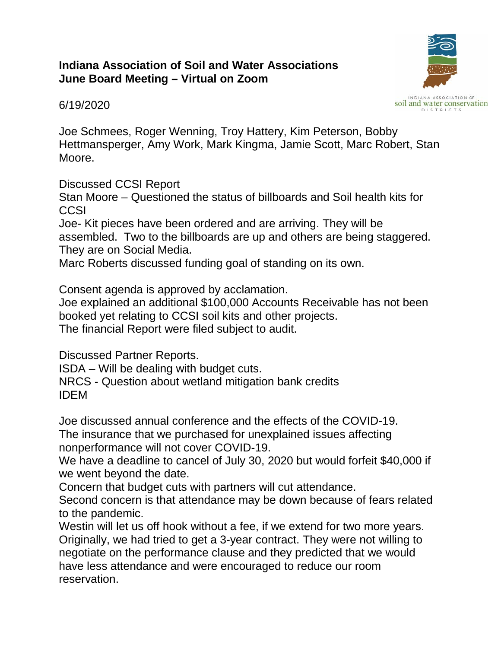## **Indiana Association of Soil and Water Associations June Board Meeting – Virtual on Zoom**



6/19/2020

Joe Schmees, Roger Wenning, Troy Hattery, Kim Peterson, Bobby Hettmansperger, Amy Work, Mark Kingma, Jamie Scott, Marc Robert, Stan Moore.

Discussed CCSI Report

Stan Moore – Questioned the status of billboards and Soil health kits for **CCSI** 

Joe- Kit pieces have been ordered and are arriving. They will be assembled. Two to the billboards are up and others are being staggered. They are on Social Media.

Marc Roberts discussed funding goal of standing on its own.

Consent agenda is approved by acclamation.

Joe explained an additional \$100,000 Accounts Receivable has not been booked yet relating to CCSI soil kits and other projects.

The financial Report were filed subject to audit.

Discussed Partner Reports.

ISDA – Will be dealing with budget cuts.

NRCS - Question about wetland mitigation bank credits IDEM

Joe discussed annual conference and the effects of the COVID-19.

The insurance that we purchased for unexplained issues affecting nonperformance will not cover COVID-19.

We have a deadline to cancel of July 30, 2020 but would forfeit \$40,000 if we went beyond the date.

Concern that budget cuts with partners will cut attendance.

Second concern is that attendance may be down because of fears related to the pandemic.

Westin will let us off hook without a fee, if we extend for two more years. Originally, we had tried to get a 3-year contract. They were not willing to negotiate on the performance clause and they predicted that we would have less attendance and were encouraged to reduce our room reservation.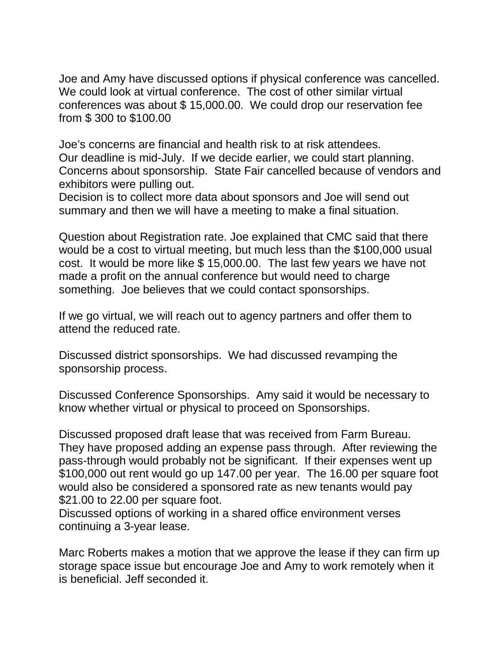Joe and Amy have discussed options if physical conference was cancelled. We could look at virtual conference. The cost of other similar virtual conferences was about \$ 15,000.00. We could drop our reservation fee from \$ 300 to \$100.00

Joe's concerns are financial and health risk to at risk attendees. Our deadline is mid-July. If we decide earlier, we could start planning. Concerns about sponsorship. State Fair cancelled because of vendors and exhibitors were pulling out.

Decision is to collect more data about sponsors and Joe will send out summary and then we will have a meeting to make a final situation.

Question about Registration rate. Joe explained that CMC said that there would be a cost to virtual meeting, but much less than the \$100,000 usual cost. It would be more like \$ 15,000.00. The last few years we have not made a profit on the annual conference but would need to charge something. Joe believes that we could contact sponsorships.

If we go virtual, we will reach out to agency partners and offer them to attend the reduced rate.

Discussed district sponsorships. We had discussed revamping the sponsorship process.

Discussed Conference Sponsorships. Amy said it would be necessary to know whether virtual or physical to proceed on Sponsorships.

Discussed proposed draft lease that was received from Farm Bureau. They have proposed adding an expense pass through. After reviewing the pass-through would probably not be significant. If their expenses went up \$100,000 out rent would go up 147.00 per year. The 16.00 per square foot would also be considered a sponsored rate as new tenants would pay \$21.00 to 22.00 per square foot.

Discussed options of working in a shared office environment verses continuing a 3-year lease.

Marc Roberts makes a motion that we approve the lease if they can firm up storage space issue but encourage Joe and Amy to work remotely when it is beneficial. Jeff seconded it.